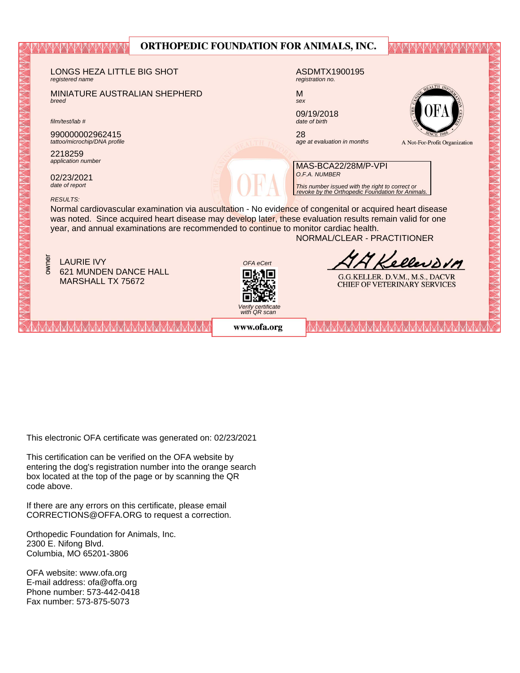| URTHUPEDIC FOUNDATION FOR ANIMALS, INC.                                                                                                                                                                              |                                                                        |  |  |  |  |  |
|----------------------------------------------------------------------------------------------------------------------------------------------------------------------------------------------------------------------|------------------------------------------------------------------------|--|--|--|--|--|
|                                                                                                                                                                                                                      |                                                                        |  |  |  |  |  |
| LONGS HEZA LITTLE BIG SHOT<br>registered name                                                                                                                                                                        | ASDMTX1900195<br>registration no.                                      |  |  |  |  |  |
| MINIATURE AUSTRALIAN SHEPHERD<br>breed                                                                                                                                                                               | $E_{\text{ALTH}}$<br>M<br>sex                                          |  |  |  |  |  |
| film/test/lab#                                                                                                                                                                                                       | 09/19/2018<br>date of birth                                            |  |  |  |  |  |
| 990000002962415<br>tattoo/microchip/DNA profile                                                                                                                                                                      | 28<br>age at evaluation in months<br>A Not-For-Profit Organization     |  |  |  |  |  |
| 2218259<br>application number                                                                                                                                                                                        | MAS-BCA22/28M/P-VPI                                                    |  |  |  |  |  |
| 02/23/2021<br>date of report                                                                                                                                                                                         | O.F.A. NUMBER                                                          |  |  |  |  |  |
| This number issued with the right to correct or<br>revoke by the Orthopedic Foundation for Animals.<br><b>RESULTS:</b>                                                                                               |                                                                        |  |  |  |  |  |
| Normal cardiovascular examination via auscultation - No evidence of congenital or acquired heart disease<br>was noted. Since acquired heart disease may develop later, these evaluation results remain valid for one |                                                                        |  |  |  |  |  |
| year, and annual examinations are recommended to continue to monitor cardiac health.<br>NORMAL/CLEAR - PRACTITIONER                                                                                                  |                                                                        |  |  |  |  |  |
| owner<br><b>LAURIE IVY</b><br>OFA eCert                                                                                                                                                                              | Kelleworm                                                              |  |  |  |  |  |
| <b>621 MUNDEN DANCE HALL</b><br>MARSHALL TX 75672                                                                                                                                                                    | G.G.KELLER. D.V.M., M.S., DACVR<br><b>CHIEF OF VETERINARY SERVICES</b> |  |  |  |  |  |
|                                                                                                                                                                                                                      |                                                                        |  |  |  |  |  |
| Verify certificate<br>with QR scan                                                                                                                                                                                   |                                                                        |  |  |  |  |  |
| www.ofa.org                                                                                                                                                                                                          |                                                                        |  |  |  |  |  |

NIDATION ROD ANIMALE C

This electronic OFA certificate was generated on: 02/23/2021

This certification can be verified on the OFA website by box located at the top of the page or by scanning the QR code above. entering the dog's registration number into the orange search

If there are any errors on this certificate, please email  $CORRECTIONS@OFFA.ORG$  to request a correction.

Phone number: 573-442-0418 Orthopedic Foundation for Animals, Inc. 2300 E. Nifong Blvd. Columbia, MO 65201-3806

OFA website: www.ofa.org E-mail address: ofa@offa.org Phone number: 573-442-0418 Fax number: 573-875-5073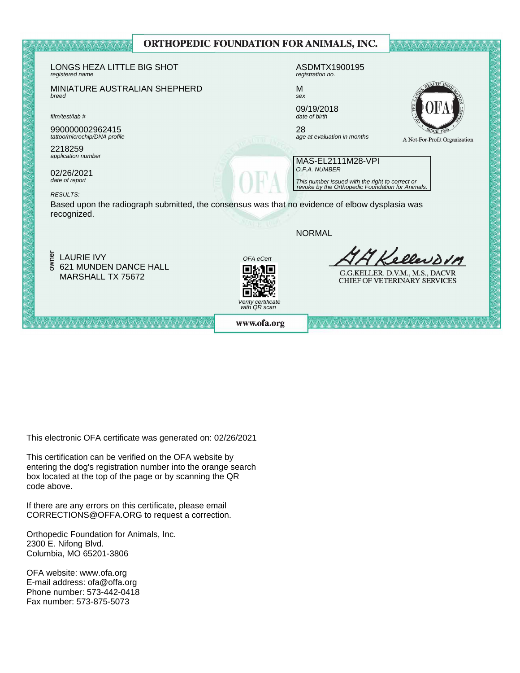

This electronic OFA certificate was generated on: 02/26/2021

This certification can be verified on the OFA website by box located at the top of the page or by scanning the QR code above. entering the dog's registration number into the orange search

If there are any errors on this certificate, please email  $CORRECTIONS@OFFA.ORG$  to request a correction.

Phone number: 573-442-0418 Orthopedic Foundation for Animals, Inc. 2300 E. Nifong Blvd. Columbia, MO 65201-3806

OFA website: www.ofa.org E-mail address: ofa@offa.org Phone number: 573-442-0418 Fax number: 573-875-5073